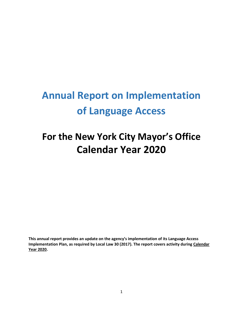# **Annual Report on Implementation of Language Access**

## **For the New York City Mayor's Office Calendar Year 2020**

**This annual report provides an update on the agency's implementation of its Language Access Implementation Plan, as required by Local Law 30 (2017). The report covers activity during Calendar Year 2020.**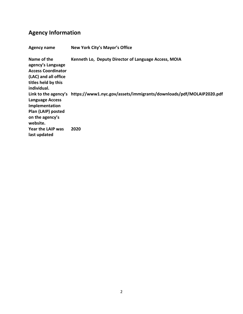### **Agency Information**

| Agency name                                                                                                                 | New York City's Mayor's Office                                                           |
|-----------------------------------------------------------------------------------------------------------------------------|------------------------------------------------------------------------------------------|
| Name of the<br>agency's Language<br><b>Access Coordinator</b><br>(LAC) and all office<br>titles held by this<br>individual. | Kenneth Lo, Deputy Director of Language Access, MOIA                                     |
| <b>Language Access</b><br>Implementation<br>Plan (LAIP) posted<br>on the agency's<br>website.                               | Link to the agency's https://www1.nyc.gov/assets/immigrants/downloads/pdf/MOLAIP2020.pdf |
| Year the LAIP was<br>last updated                                                                                           | 2020                                                                                     |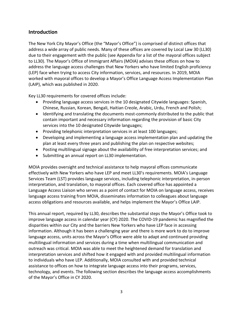#### **Introduction**

The New York City Mayor's Office (the "Mayor's Office") is comprised of distinct offices that address a wide array of public needs. Many of these offices are covered by Local Law 30 (LL30) due to their engagement with the public (see Appendix for a list of the mayoral offices subject to LL30). The Mayor's Office of Immigrant Affairs (MOIA) advises these offices on how to address the language access challenges that New Yorkers who have limited English proficiency (LEP) face when trying to access City information, services, and resources. In 2019, MOIA worked with mayoral offices to develop a Mayor's Office Language Access Implementation Plan (LAIP), which was published in 2020.

Key LL30 requirements for covered offices include:

- Providing language access services in the 10 designated Citywide languages: Spanish, Chinese, Russian, Korean, Bengali, Haitian Creole, Arabic, Urdu, French and Polish;
- Identifying and translating the documents most-commonly distributed to the public that contain important and necessary information regarding the provision of basic City services into the 10 designated Citywide languages;
- Providing telephonic interpretation services in at least 100 languages;
- Developing and implementing a language access implementation plan and updating the plan at least every three years and publishing the plan on respective websites;
- Posting multilingual signage about the availability of free interpretation services; and
- Submitting an annual report on LL30 implementation.

MOIA provides oversight and technical assistance to help mayoral offices communicate effectively with New Yorkers who have LEP and meet LL30's requirements. MOIA's Language Services Team (LST) provides language services, including telephonic interpretation, in-person interpretation, and translation, to mayoral offices. Each covered office has appointed a Language Access Liaison who serves as a point of contact for MOIA on language access, receives language access training from MOIA, disseminates information to colleagues about language access obligations and resources available, and helps implement the Mayor's Office LAIP.

This annual report, required by LL30, describes the substantial steps the Mayor's Office took to improve language access in calendar year (CY) 2020. The COVID-19 pandemic has magnified the disparities within our City and the barriers New Yorkers who have LEP face in accessing information. Although it has been a challenging year and there is more work to do to improve language access, units across the Mayor's Office were able to adapt and continued providing multilingual information and services during a time when multilingual communication and outreach was critical. MOIA was able to meet the heightened demand for translation and interpretation services and shifted how it engaged with and provided multilingual information to individuals who have LEP. Additionally, MOIA consulted with and provided technical assistance to offices on how to integrate language access into their programs, services, technology, and events. The following section describes the language access accomplishments of the Mayor's Office in CY 2020.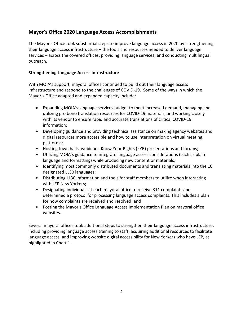#### **Mayor's Office 2020 Language Access Accomplishments**

The Mayor's Office took substantial steps to improve language access in 2020 by: strengthening their language access infrastructure – the tools and resources needed to deliver language services – across the covered offices; providing language services; and conducting multilingual outreach.

#### **Strengthening Language Access Infrastructure**

With MOIA's support, mayoral offices continued to build out their language access infrastructure and respond to the challenges of COVID-19. Some of the ways in which the Mayor's Office adapted and expanded capacity include:

- Expanding MOIA's language services budget to meet increased demand, managing and utilizing pro bono translation resources for COVID-19 materials, and working closely with its vendor to ensure rapid and accurate translations of critical COVID-19 information;
- Developing guidance and providing technical assistance on making agency websites and digital resources more accessible and how to use interpretation on virtual meeting platforms;
- Hosting town halls, webinars, Know Your Rights (KYR) presentations and forums;
- Utilizing MOIA's guidance to integrate language access considerations (such as plain language and formatting) while producing new content or materials;
- Identifying most commonly distributed documents and translating materials into the 10 designated LL30 languages;
- Distributing LL30 information and tools for staff members to utilize when interacting with LEP New Yorkers;
- Designating individuals at each mayoral office to receive 311 complaints and determined a protocol for processing language access complaints. This includes a plan for how complaints are received and resolved; and
- Posting the Mayor's Office Language Access Implementation Plan on mayoral office websites.

Several mayoral offices took additional steps to strengthen their language access infrastructure, including providing language access training to staff, acquiring additional resources to facilitate language access, and improving website digital accessibility for New Yorkers who have LEP, as highlighted in Chart 1.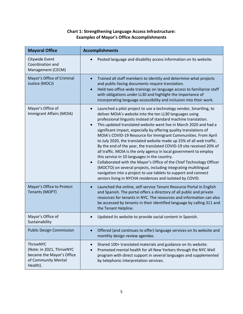#### **Chart 1: Strengthening Language Access Infrastructure: Examples of Mayor's Office Accomplishments**

| <b>Mayoral Office</b>                                                                                         | <b>Accomplishments</b>                                                                                                                                                                                                                                                                                                                                                                                                                                                                                                                                                                                                                                                                                                                                                                                                                                                                                                                                                                    |  |  |  |
|---------------------------------------------------------------------------------------------------------------|-------------------------------------------------------------------------------------------------------------------------------------------------------------------------------------------------------------------------------------------------------------------------------------------------------------------------------------------------------------------------------------------------------------------------------------------------------------------------------------------------------------------------------------------------------------------------------------------------------------------------------------------------------------------------------------------------------------------------------------------------------------------------------------------------------------------------------------------------------------------------------------------------------------------------------------------------------------------------------------------|--|--|--|
| Citywide Event<br>Coordination and<br>Management (CECM)                                                       | Posted language and disability access information on its website.                                                                                                                                                                                                                                                                                                                                                                                                                                                                                                                                                                                                                                                                                                                                                                                                                                                                                                                         |  |  |  |
| Mayor's Office of Criminal<br>Justice (MOCJ)                                                                  | Trained all staff members to identity and determine what projects<br>$\bullet$<br>and public-facing documents require translation.<br>Held two office-wide trainings on language access to familiarize staff<br>$\bullet$<br>with obligations under LL30 and highlight the importance of<br>incorporating language accessibility and inclusion into their work.                                                                                                                                                                                                                                                                                                                                                                                                                                                                                                                                                                                                                           |  |  |  |
| Mayor's Office of<br>Immigrant Affairs (MOIA)                                                                 | Launched a pilot project to use a technology vendor, Smartling, to<br>$\bullet$<br>deliver MOIA's website into the ten LL30 languages using<br>professional linguists instead of standard machine translation.<br>This updated translated website went live in March 2020 and had a<br>$\bullet$<br>significant impact, especially by offering quality translations of<br>MOIA's COVID-19 Resource for Immigrant Communities. From April<br>to July 2020, the translated website made up 25% of all web traffic.<br>By the end of the year, the translated COVID-19 site received 20% of<br>all traffic. MOIA is the only agency in local government to employ<br>this service in 10 languages in the country.<br>Collaborated with the Mayor's Office of the Chief Technology Officer<br>(MOCTO) on several projects, including integrating multilingual<br>navigation into a project to use tablets to support and connect<br>seniors living in NYCHA residences and isolated by COVID. |  |  |  |
| Mayor's Office to Protect<br>Tenants (MOPT)                                                                   | Launched the online, self-service Tenant Resource Portal in English<br>and Spanish. The portal offers a directory of all public and private<br>resources for tenants in NYC. The resources and information can also<br>be accessed by tenants in their identified language by calling 311 and<br>the Tenant Helpline.                                                                                                                                                                                                                                                                                                                                                                                                                                                                                                                                                                                                                                                                     |  |  |  |
| Mayor's Office of<br>Sustainability                                                                           | Updated its website to provide social content in Spanish.                                                                                                                                                                                                                                                                                                                                                                                                                                                                                                                                                                                                                                                                                                                                                                                                                                                                                                                                 |  |  |  |
| <b>Public Design Commission</b>                                                                               | Offered (and continues to offer) language services on its website and<br>$\bullet$<br>monthly design review agendas.                                                                                                                                                                                                                                                                                                                                                                                                                                                                                                                                                                                                                                                                                                                                                                                                                                                                      |  |  |  |
| <b>ThriveNYC</b><br>(Note: in 2021, ThriveNYC<br>became the Mayor's Office<br>of Community Mental<br>Health). | Shared 100+ translated materials and guidance on its website.<br>$\bullet$<br>Promoted mental health for all New Yorkers through the NYC Well<br>program with direct support in several languages and supplemented<br>by telephonic interpretation services.                                                                                                                                                                                                                                                                                                                                                                                                                                                                                                                                                                                                                                                                                                                              |  |  |  |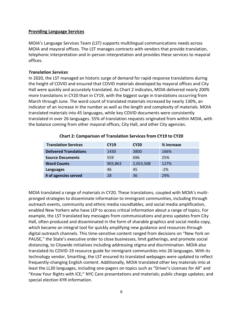#### **Providing Language Services**

MOIA's Language Services Team (LST) supports multilingual communications needs across MOIA and mayoral offices. The LST manages contracts with vendors that provide translation, telephonic interpretation and in-person interpretation and provides these services to mayoral offices.

#### *Translation Services*

In 2020, the LST managed an historic surge of demand for rapid response translations during the height of COVID and ensured that COVID materials developed by mayoral offices and City Hall were quickly and accurately translated. As Chart 2 indicates, MOIA delivered nearly 200% more translations in CY20 than in CY19, with the biggest surge in translations occurring from March through June. The word count of translated materials increased by nearly 130%, an indicator of an increase in the number as well as the length and complexity of materials. MOIA translated materials into 45 languages, while key COVID documents were consistently translated in over 26 languages. 55% of translation requests originated from within MOIA, with the balance coming from other mayoral offices, City Hall, and other City agencies.

| <b>Translation Services</b>   | <b>CY19</b> | <b>CY20</b> | % Increase |
|-------------------------------|-------------|-------------|------------|
| <b>Delivered Translations</b> | 1430        | 3800        | 166%       |
| <b>Source Documents</b>       | 559         | 696         | 25%        |
| <b>Word Counts</b>            | 903,863     | 2,053,508   | 127%       |
| <b>Languages</b>              | 46          | 45          | $-2%$      |
| # of agencies served          | 28          | 36          | 29%        |

#### **Chart 2: Comparison of Translation Services from CY19 to CY20**

MOIA translated a range of materials in CY20. These translations, coupled with MOIA's multipronged strategies to disseminate information to immigrant communities, including through outreach events, community and ethnic media roundtables, and social media amplification, enabled New Yorkers who have LEP to access critical information about a range of topics. For example, the LST translated key messages from communications and press updates from City Hall, often produced and disseminated in the form of sharable graphics and social media copy, which became an integral tool for quickly amplifying new guidance and resources through digital outreach channels. This time-sensitive content ranged from decisions on "New York on PAUSE," the State's executive order to close businesses, limit gatherings, and promote social distancing, to Citywide initiatives including addressing stigma and discrimination. MOIA also translated its COVID-19 resource guide for immigrant communities into 26 languages. With its technology vendor, Smartling, the LST ensured its translated webpages were updated to reflect frequently-changing English content. Additionally, MOIA translated other key materials into at least the LL30 languages, including one-pagers on topics such as "Driver's Licenses for All" and "Know Your Rights with ICE;" NYC Care presentations and materials; public charge updates; and special election KYR information.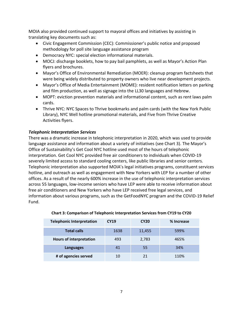MOIA also provided continued support to mayoral offices and initiatives by assisting in translating key documents such as:

- Civic Engagement Commission (CEC): Commissioner's public notice and proposed methodology for poll site language assistance program
- Democracy NYC: special election informational materials.
- MOCJ: discharge booklets, how to pay bail pamphlets, as well as Mayor's Action Plan flyers and brochures.
- Mayor's Office of Environmental Remediation (MOER): cleanup program factsheets that were being widely distributed to property owners who live near development projects.
- Mayor's Office of Media Entertainment (MOME): resident notification letters on parking and film production, as well as signage into the LL30 languages and Hebrew.
- MOPT: eviction prevention materials and informational content, such as rent laws palm cards.
- Thrive NYC: NYC Spaces to Thrive bookmarks and palm cards (with the New York Public Library), NYC Well hotline promotional materials, and Five from Thrive Creative Activities flyers.

#### *Telephonic Interpretation Services*

There was a dramatic increase in telephonic interpretation in 2020, which was used to provide language assistance and information about a variety of initiatives (see Chart 3). The Mayor's Office of Sustainability's Get Cool NYC hotline used most of the hours of telephonic interpretation. Get Cool NYC provided free air conditioners to individuals when COVID-19 severely limited access to standard cooling centers, like public libraries and senior centers. Telephonic interpretation also supported MOIA's legal initiatives programs, constituent services hotline, and outreach as well as engagement with New Yorkers with LEP for a number of other offices. As a result of the nearly 600% increase in the use of telephonic interpretation services across 55 languages, low-income seniors who have LEP were able to receive information about free air conditioners and New Yorkers who have LEP received free legal services, and information about various programs, such as the GetFoodNYC program and the COVID-19 Relief Fund.

| <b>Telephonic Interpretation</b> | <b>CY19</b> | <b>CY20</b> | % Increase |
|----------------------------------|-------------|-------------|------------|
| <b>Total calls</b>               | 1638        | 11,455      | 599%       |
| <b>Hours of interpretation</b>   | 493         | 2,783       | 465%       |
| <b>Languages</b>                 | 41          | 55          | 34%        |
| # of agencies served             | 10          | 21          | 110%       |

#### **Chart 3: Comparison of Telephonic Interpretation Services from CY19 to CY20**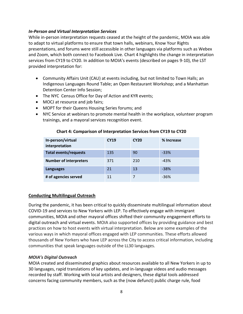#### *In-Person and Virtual Interpretation Services*

While in-person interpretation requests ceased at the height of the pandemic, MOIA was able to adapt to virtual platforms to ensure that town halls, webinars, Know Your Rights presentations, and forums were still accessible in other languages via platforms such as Webex and Zoom, which both connect to Facebook Live. Chart 4 highlights the change in interpretation services from CY19 to CY20. In addition to MOIA's events (described on pages 9-10), the LST provided interpretation for:

- Community Affairs Unit (CAU) at events including, but not limited to Town Halls; an Indigenous Languages Round Table; an Open Restaurant Workshop; and a Manhattan Detention Center Info Session;
- The NYC Census Office for Day of Action and KYR events;
- MOCJ at resource and job fairs;
- MOPT for their Queens Housing Series forums; and
- NYC Service at webinars to promote mental health in the workplace, volunteer program trainings, and a mayoral services recognition event.

| In-person/virtual<br>interpretation | <b>CY19</b> | <b>CY20</b> | % Increase |
|-------------------------------------|-------------|-------------|------------|
| <b>Total events/requests</b>        | 135         | 90          | $-33%$     |
| <b>Number of interpreters</b>       | 371         | 210         | $-43%$     |
| <b>Languages</b>                    | 21          | 13          | $-38%$     |
| # of agencies served                | 11          |             | $-36%$     |

#### **Chart 4: Comparison of Interpretation Services from CY19 to CY20**

#### **Conducting Multilingual Outreach**

During the pandemic, it has been critical to quickly disseminate multilingual information about COVID-19 and services to New Yorkers with LEP. To effectively engage with immigrant communities, MOIA and other mayoral offices shifted their community engagement efforts to digital outreach and virtual events. MOIA also supported offices by providing guidance and best practices on how to host events with virtual interpretation. Below are some examples of the various ways in which mayoral offices engaged with LEP communities. These efforts allowed thousands of New Yorkers who have LEP across the City to access critical information, including communities that speak languages outside of the LL30 languages.

#### *MOIA's Digital Outreach*

MOIA created and disseminated graphics about resources available to all New Yorkers in up to 30 languages, rapid translations of key updates, and in-language videos and audio messages recorded by staff. Working with local artists and designers, these digital tools addressed concerns facing community members, such as the (now defunct) public charge rule, food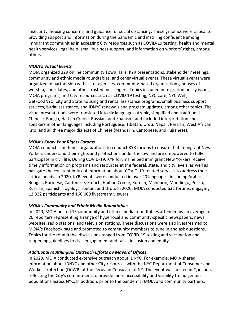insecurity, housing concerns, and guidance for social distancing. These graphics were critical to providing support and information during the pandemic and instilling confidence among immigrant communities in accessing City resources such as COVID-19 testing, health and mental health services, legal help, small business support, and information on workers' rights, among others.

#### *MOIA's Virtual Events*

MOIA organized 329 online community Town Halls, KYR presentations, stakeholder meetings, community and ethnic media roundtables, and other virtual events. These virtual events were organized in partnership with sister agencies, community-based organizations, houses of worship, consulates, and other trusted messengers. Topics included immigration policy issues, MOIA programs, and City resources such as COVID 19 testing, NYC Care, NYC Well, GetFoodNYC, City and State housing and rental assistance programs, small business support services, burial assistance, and IDNYC renewals and program updates, among other topics. The visual presentations were translated into six languages (Arabic, simplified and traditional Chinese, Bangla, Haitian Creole, Russian, and Spanish), and included interpretation and speakers in other languages including Portuguese, Tibetan, Urdu, Nepali, Persian, West African Krio, and all three major dialects of Chinese (Mandarin, Cantonese, and Fujianese).

#### *MOIA's Know Your Rights Forums*

MOIA conducts and funds organizations to conduct KYR forums to ensure that immigrant New Yorkers understand their rights and protections under the law and are empowered to fully participate in civil life. During COVID-19, KYR forums helped immigrant New Yorkers receive timely information on programs and resources at the federal, state, and city levels, as well as navigate the constant influx of information about COVID-19-related services to address their critical needs. In 2020, KYR events were conducted in over 20 languages, including Arabic, Bengali, Burmese, Cantonese, French, Haitian Creole, Korean, Mandarin, Mandingo, Polish, Russian, Spanish, Tagalog, Tibetan, and Urdu. In 2020, MOIA conducted 631 forums, engaging 12,332 participants and 160,000 livestream viewers.

#### *MOIA's Community and Ethnic Media Roundtables*

In 2020, MOIA hosted 15 community and ethnic media roundtables attended by an average of 20 reporters representing a range of hyperlocal and community-specific newspapers, news websites, radio stations, and television stations. These discussions were also livestreamed to MOIA's Facebook page and promoted to community members to tune in and ask questions. Topics for the roundtable discussions ranged from COVID-19 testing and vaccination and reopening guidelines to civic engagement and racial inclusion and equity.

#### *Additional Multilingual Outreach Efforts by Mayoral Offices*

In 2020, MOIA conducted extensive outreach about IDNYC. For example, MOIA shared information about IDNYC and other City resources with the NYC Department of Consumer and Worker Protection (DCWP) at the Peruvian Consulate of NY. The event was hosted in Quechua, reflecting the City's commitment to provide more accessibility and visibility to Indigenous populations across NYC. In addition, prior to the pandemic, MOIA and community partners,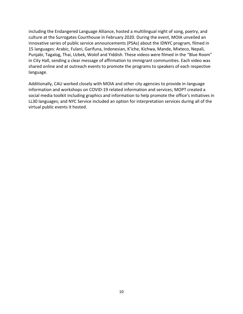including the Endangered Language Alliance, hosted a multilingual night of song, poetry, and culture at the Surrogates Courthouse in February 2020. During the event, MOIA unveiled an innovative series of public service announcements (PSAs) about the IDNYC program, filmed in 15 languages: Arabic, Fulani, Garifuna, Indonesian, K'iche, Kichwa, Mande, Mixteco, Nepali, Punjabi, Tagalog, Thai, Uzbek, Wolof and Yiddish. These videos were filmed in the "Blue Room" in City Hall, sending a clear message of affirmation to immigrant communities. Each video was shared online and at outreach events to promote the programs to speakers of each respective language.

Additionally, CAU worked closely with MOIA and other city agencies to provide in-language information and workshops on COVID-19 related information and services; MOPT created a social media toolkit including graphics and information to help promote the office's initiatives in LL30 languages; and NYC Service included an option for interpretation services during all of the virtual public events it hosted.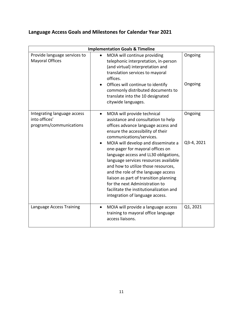|  |  | Language Access Goals and Milestones for Calendar Year 2021 |  |  |
|--|--|-------------------------------------------------------------|--|--|
|--|--|-------------------------------------------------------------|--|--|

| <b>Implementation Goals &amp; Timeline</b>                              |                                                                                                                                                                                                                                                                                                                                                                                                                                                                                                                                                                                              |                       |  |  |
|-------------------------------------------------------------------------|----------------------------------------------------------------------------------------------------------------------------------------------------------------------------------------------------------------------------------------------------------------------------------------------------------------------------------------------------------------------------------------------------------------------------------------------------------------------------------------------------------------------------------------------------------------------------------------------|-----------------------|--|--|
| Provide language services to<br><b>Mayoral Offices</b>                  | MOIA will continue providing<br>telephonic interpretation, in-person<br>(and virtual) interpretation and<br>translation services to mayoral<br>offices.<br>Offices will continue to identify<br>commonly distributed documents to<br>translate into the 10 designated<br>citywide languages.                                                                                                                                                                                                                                                                                                 | Ongoing<br>Ongoing    |  |  |
| Integrating language access<br>into offices'<br>programs/communications | MOIA will provide technical<br>$\bullet$<br>assistance and consultation to help<br>offices advance language access and<br>ensure the accessibility of their<br>communications/services.<br>MOIA will develop and disseminate a<br>one-pager for mayoral offices on<br>language access and LL30 obligations,<br>language services resources available<br>and how to utilize those resources,<br>and the role of the language access<br>liaison as part of transition planning<br>for the next Administration to<br>facilitate the institutionalization and<br>integration of language access. | Ongoing<br>Q3-4, 2021 |  |  |
| Language Access Training                                                | MOIA will provide a language access<br>$\bullet$<br>training to mayoral office language<br>access liaisons.                                                                                                                                                                                                                                                                                                                                                                                                                                                                                  | Q1, 2021              |  |  |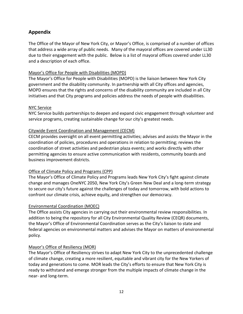#### **Appendix**

The Office of the Mayor of New York City, or Mayor's Office, is comprised of a number of offices that address a wide array of public needs. Many of the mayoral offices are covered under LL30 due to their engagement with the public. Below is a list of mayoral offices covered under LL30 and a description of each office.

#### Mayor's Office for People with Disabilities (MOPD)

The Mayor's Office for People with Disabilities (MOPD) is the liaison between New York City government and the disability community. In partnership with all City offices and agencies, MOPD ensures that the rights and concerns of the disability community are included in all City initiatives and that City programs and policies address the needs of people with disabilities.

#### NYC Service

NYC Service builds partnerships to deepen and expand civic engagement through volunteer and service programs, creating sustainable change for our city's greatest needs.

#### Citywide Event Coordination and Management (CECM)

CECM provides oversight on all event permitting activities; advises and assists the Mayor in the coordination of policies, procedures and operations in relation to permitting; reviews the coordination of street activities and pedestrian plaza events; and works directly with other permitting agencies to ensure active communication with residents, community boards and business improvement districts.

#### Office of Climate Policy and Programs (CPP)

The Mayor's Office of Climate Policy and Programs leads New York City's fight against climate change and manages OneNYC 2050, New York City's Green New Deal and a long-term strategy to secure our city's future against the challenges of today and tomorrow, with bold actions to confront our climate crisis, achieve equity, and strengthen our democracy.

#### Environmental Coordination (MOEC)

The Office assists City agencies in carrying out their environmental review responsibilities. In addition to being the repository for all City Environmental Quality Review (CEQR) documents, the Mayor's Office of Environmental Coordination serves as the City's liaison to state and federal agencies on environmental matters and advises the Mayor on matters of environmental policy.

#### Mayor's Office of Resiliency (MOR)

The Mayor's Office of Resiliency strives to adapt New York City to the unprecedented challenge of climate change, creating a more resilient, equitable and vibrant city for the New Yorkers of today and generations to come. MOR leads the City's efforts to ensure that New York City is ready to withstand and emerge stronger from the multiple impacts of climate change in the near- and long-term.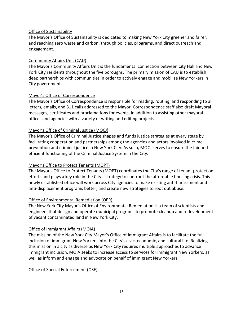#### Office of Sustainability

The Mayor's Office of Sustainability is dedicated to making New York City greener and fairer, and reaching zero waste and carbon, through policies, programs, and direct outreach and engagement.

#### Community Affairs Unit (CAU)

The Mayor's Community Affairs Unit is the fundamental connection between City Hall and New York City residents throughout the five boroughs. The primary mission of CAU is to establish deep partnerships with communities in order to actively engage and mobilize New Yorkers in City government.

#### Mayor's Office of Correspondence

The Mayor's Office of Correspondence is responsible for reading, routing, and responding to all letters, emails, and 311 calls addressed to the Mayor. Correspondence staff also draft Mayoral messages, certificates and proclamations for events, in addition to assisting other mayoral offices and agencies with a variety of writing and editing projects.

#### Mayor's Office of Criminal Justice (MOCJ)

The Mayor's Office of Criminal Justice shapes and funds justice strategies at every stage by facilitating cooperation and partnerships among the agencies and actors involved in crime prevention and criminal justice in New York City. As such, MOCJ serves to ensure the fair and efficient functioning of the Criminal Justice System in the City.

#### Mayor's Office to Protect Tenants (MOPT)

The Mayor's Office to Protect Tenants (MOPT) coordinates the City's range of tenant protection efforts and plays a key role in the City's strategy to confront the affordable housing crisis. This newly established office will work across City agencies to make existing anti-harassment and anti-displacement programs better, and create new strategies to root out abuse.

#### Office of Environmental Remediation (OER)

The New York City Mayor's Office of Environmental Remediation is a team of scientists and engineers that design and operate municipal programs to promote cleanup and redevelopment of vacant contaminated land in New York City.

#### Office of Immigrant Affairs (MOIA)

The mission of the New York City Mayor's Office of Immigrant Affairs is to facilitate the full inclusion of immigrant New Yorkers into the City's civic, economic, and cultural life. Realizing this mission in a city as diverse as New York City requires multiple approaches to advance immigrant inclusion. MOIA seeks to increase access to services for immigrant New Yorkers, as well as inform and engage and advocate on behalf of immigrant New Yorkers.

#### Office of Special Enforcement (OSE)